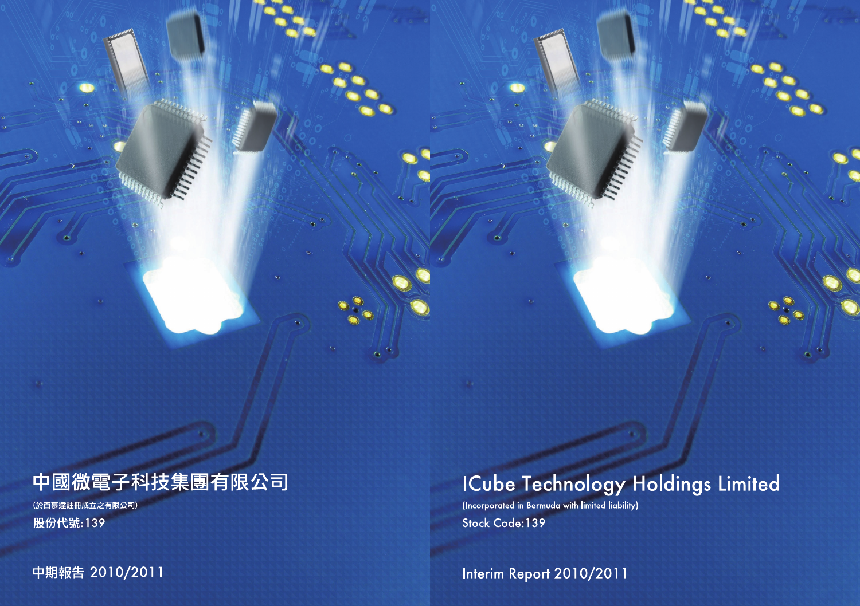# ICube Technology Holdings Limited

(Incorporated in Bermuda with limited liability) Stock Code: 139

Interim Report 2010/2011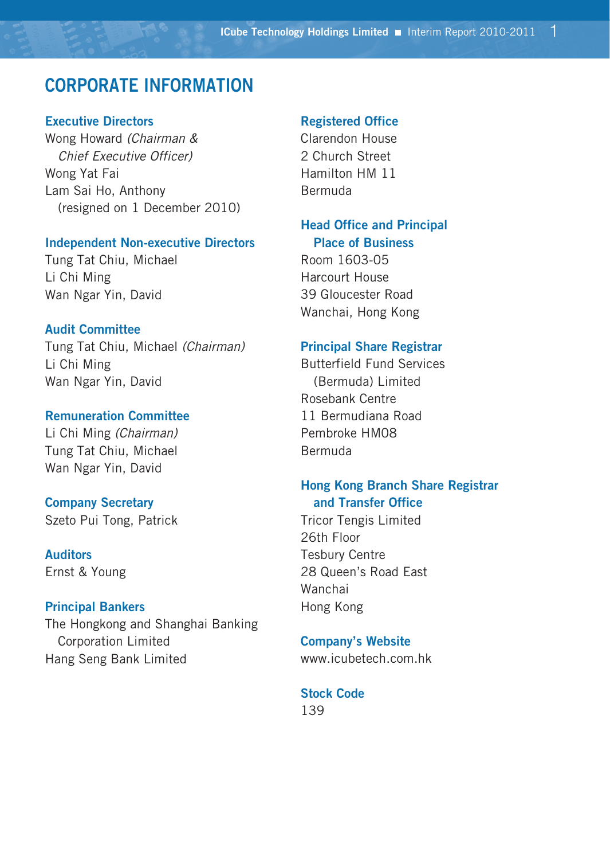# **CORPORATE INFORMATION**

#### **Executive Directors**

Wong Howard *(Chairman & Chief Executive Officer)* Wong Yat Fai Lam Sai Ho, Anthony (resigned on 1 December 2010)

#### **Independent Non-executive Directors**

Tung Tat Chiu, Michael Li Chi Ming Wan Ngar Yin, David

#### **Audit Committee**

Tung Tat Chiu, Michael *(Chairman)* Li Chi Ming Wan Ngar Yin, David

#### **Remuneration Committee**

Li Chi Ming *(Chairman)* Tung Tat Chiu, Michael Wan Ngar Yin, David

#### **Company Secretary**

Szeto Pui Tong, Patrick

# **Auditors**

Ernst & Young

### **Principal Bankers**

The Hongkong and Shanghai Banking Corporation Limited Hang Seng Bank Limited

#### **Registered Office**

Clarendon House 2 Church Street Hamilton HM 11 Bermuda

### **Head Office and Principal Place of Business**

Room 1603-05 Harcourt House 39 Gloucester Road Wanchai, Hong Kong

#### **Principal Share Registrar**

Butterfield Fund Services (Bermuda) Limited Rosebank Centre 11 Bermudiana Road Pembroke HM08 Bermuda

### **Hong Kong Branch Share Registrar and Transfer Office**

Tricor Tengis Limited 26th Floor Tesbury Centre 28 Queen's Road East Wanchai Hong Kong

#### **Company's Website**

www.icubetech.com.hk

#### **Stock Code**

139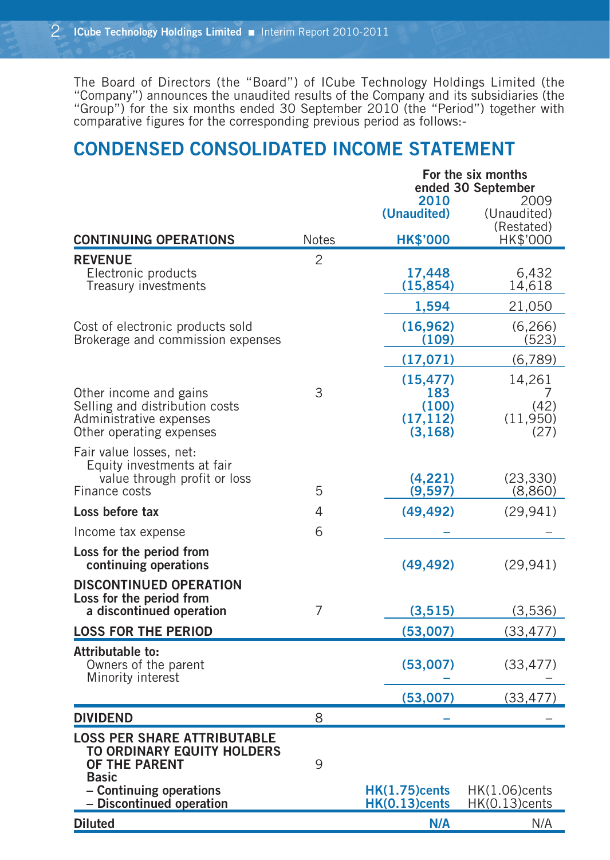The Board of Directors (the "Board") of ICube Technology Holdings Limited (the "Company") announces the unaudited results of the Company and its subsidiaries (the "Group") for the six months ended 30 September 2010 (the "Period") together with comparative figures for the corresponding previous period as follows:-

# **CONDENSED CONSOLIDATED INCOME STATEMENT**

|                                                                                       |                | For the six months<br>ended 30 September |                                   |  |  |
|---------------------------------------------------------------------------------------|----------------|------------------------------------------|-----------------------------------|--|--|
|                                                                                       |                | 2010<br>(Unaudited)                      | 2009<br>(Unaudited)<br>(Restated) |  |  |
| <b>CONTINUING OPERATIONS</b>                                                          | <b>Notes</b>   | <b>HK\$'000</b>                          | HK\$'000                          |  |  |
| <b>REVENUE</b>                                                                        | $\overline{c}$ |                                          |                                   |  |  |
| Electronic products<br>Treasury investments                                           |                | 17,448<br>(15, 854)                      | 6,432<br>14,618                   |  |  |
|                                                                                       |                | 1,594                                    | 21,050                            |  |  |
| Cost of electronic products sold<br>Brokerage and commission expenses                 |                | (16, 962)<br>(109)                       | (6, 266)<br>(523)                 |  |  |
|                                                                                       |                | (17, 071)                                | (6,789)                           |  |  |
| Other income and gains                                                                | 3              | (15, 477)<br>183                         | 14,261<br>7                       |  |  |
| Selling and distribution costs<br>Administrative expenses<br>Other operating expenses |                | (100)<br>(17, 112)<br>(3, 168)           | (42)<br>(11,950)<br>(27)          |  |  |
| Fair value losses, net:<br>Equity investments at fair<br>value through profit or loss |                | (4,221)                                  | (23, 330)                         |  |  |
| Finance costs                                                                         | 5              | (9,597)                                  | (8,860)                           |  |  |
| Loss before tax                                                                       | 4              | (49, 492)                                | (29, 941)                         |  |  |
| Income tax expense                                                                    | 6              |                                          |                                   |  |  |
| Loss for the period from<br>continuing operations                                     |                | (49, 492)                                | (29, 941)                         |  |  |
| <b>DISCONTINUED OPERATION</b><br>Loss for the period from                             |                |                                          |                                   |  |  |
| a discontinued operation                                                              | 7              | (3,515)                                  | (3,536)                           |  |  |
| <b>LOSS FOR THE PERIOD</b>                                                            |                | (53,007)                                 | (33, 477)                         |  |  |
| Attributable to:<br>Owners of the parent<br>Minority interest                         |                | (53,007)                                 | (33, 477)                         |  |  |
|                                                                                       |                | (53,007)                                 | (33, 477)                         |  |  |
| <b>DIVIDEND</b>                                                                       | 8              |                                          |                                   |  |  |
| <b>LOSS PER SHARE ATTRIBUTABLE</b><br>TO ORDINARY EQUITY HOLDERS<br>OF THE PARENT     | 9              |                                          |                                   |  |  |
| <b>Basic</b><br>- Continuing operations<br>- Discontinued operation                   |                | <b>HK(1.75)cents</b><br>$HK(0.13)$ cents | HK(1.06)cents<br>$HK(0.13)$ cents |  |  |
| <b>Diluted</b>                                                                        |                | N/A                                      | N/A                               |  |  |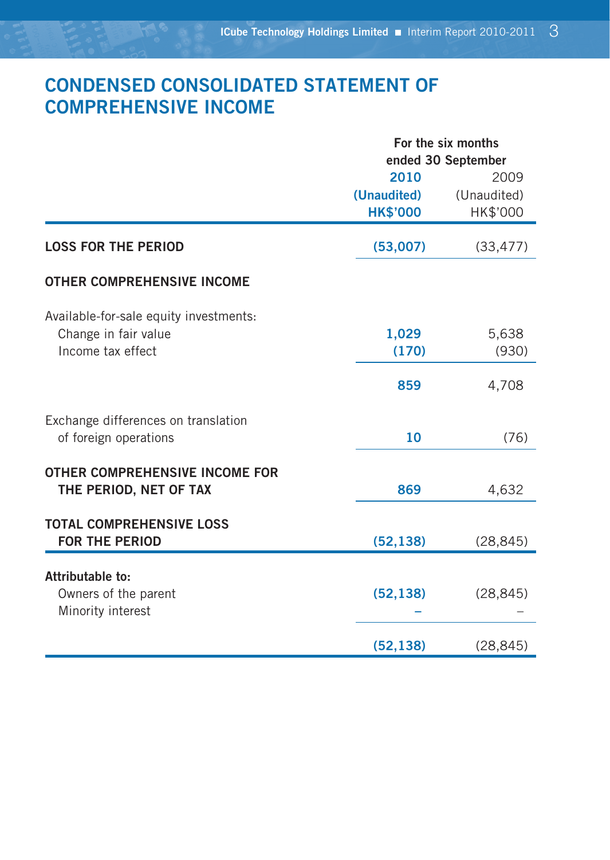# **CONDENSED CONSOLIDATED STATEMENT OF COMPREHENSIVE INCOME**

|                                        | For the six months |             |  |  |  |
|----------------------------------------|--------------------|-------------|--|--|--|
|                                        | ended 30 September |             |  |  |  |
|                                        | 2010               | 2009        |  |  |  |
|                                        | (Unaudited)        | (Unaudited) |  |  |  |
|                                        | <b>HK\$'000</b>    | HK\$'000    |  |  |  |
| <b>LOSS FOR THE PERIOD</b>             | (53,007)           | (33, 477)   |  |  |  |
| <b>OTHER COMPREHENSIVE INCOME</b>      |                    |             |  |  |  |
| Available-for-sale equity investments: |                    |             |  |  |  |
| Change in fair value                   | 1,029              | 5,638       |  |  |  |
| Income tax effect                      | (170)              | (930)       |  |  |  |
|                                        | 859                | 4,708       |  |  |  |
|                                        |                    |             |  |  |  |
| Exchange differences on translation    |                    |             |  |  |  |
| of foreign operations                  | 10                 | (76)        |  |  |  |
| <b>OTHER COMPREHENSIVE INCOME FOR</b>  |                    |             |  |  |  |
| THE PERIOD, NET OF TAX                 | 869                | 4,632       |  |  |  |
| <b>TOTAL COMPREHENSIVE LOSS</b>        |                    |             |  |  |  |
| <b>FOR THE PERIOD</b>                  | (52, 138)          | (28, 845)   |  |  |  |
|                                        |                    |             |  |  |  |
| Attributable to:                       |                    |             |  |  |  |
| Owners of the parent                   | (52, 138)          | (28, 845)   |  |  |  |
| Minority interest                      |                    |             |  |  |  |
|                                        | (52, 138)          | (28, 845)   |  |  |  |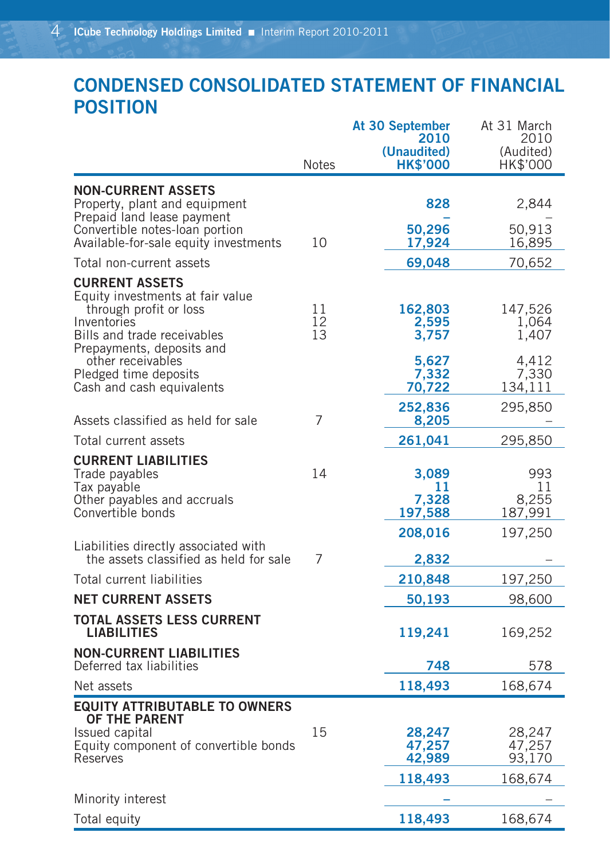# **CONDENSED CONSOLIDATED STATEMENT OF FINANCIAL POSITION**

|                                                                                                                                                                | <b>Notes</b>   | At 30 September<br>2010<br>(Unaudited)<br><b>HK\$'000</b> | At 31 March<br>2010<br>(Audited)<br>HK\$'000 |
|----------------------------------------------------------------------------------------------------------------------------------------------------------------|----------------|-----------------------------------------------------------|----------------------------------------------|
| <b>NON-CURRENT ASSETS</b><br>Property, plant and equipment                                                                                                     |                | 828                                                       | 2,844                                        |
| Prepaid land lease payment<br>Convertible notes-loan portion<br>Available-for-sale equity investments                                                          | 10             | 50,296<br>17,924                                          | 50,913<br>16,895                             |
| Total non-current assets                                                                                                                                       |                | 69,048                                                    | 70,652                                       |
| <b>CURRENT ASSETS</b><br>Equity investments at fair value<br>through profit or loss<br>Inventories<br>Bills and trade receivables<br>Prepayments, deposits and | 11<br>12<br>13 | 162,803<br>2,595<br>3,757                                 | 147,526<br>1,064<br>1,407                    |
| other receivables<br>Pledged time deposits<br>Cash and cash equivalents                                                                                        |                | 5,627<br>7,332<br>70,722                                  | 4,412<br>7,330<br>134,111                    |
| Assets classified as held for sale                                                                                                                             | 7              | 252,836<br>8,205                                          | 295,850                                      |
| Total current assets                                                                                                                                           |                | 261,041                                                   | 295,850                                      |
| <b>CURRENT LIABILITIES</b><br>Trade payables<br>Tax payable<br>Other payables and accruals<br>Convertible bonds                                                | 14             | 3,089<br>11<br>7,328<br>197,588                           | 993<br>11<br>8,255<br>187,991                |
| Liabilities directly associated with<br>the assets classified as held for sale                                                                                 | 7              | 208,016                                                   | 197,250                                      |
| Total current liabilities                                                                                                                                      |                | 2,832                                                     |                                              |
| <b>NET CURRENT ASSETS</b>                                                                                                                                      |                | 210,848<br>50,193                                         | 197,250<br>98,600                            |
| TOTAL ASSETS LESS CURRENT                                                                                                                                      |                |                                                           |                                              |
| <b>LIABILITIES</b>                                                                                                                                             |                | 119,241                                                   | 169,252                                      |
| <b>NON-CURRENT LIABILITIES</b><br>Deferred tax liabilities                                                                                                     |                | 748                                                       | 578                                          |
| Net assets                                                                                                                                                     |                | 118,493                                                   | 168,674                                      |
| <b>EQUITY ATTRIBUTABLE TO OWNERS</b><br>OF THE PARENT<br>Issued capital<br>Equity component of convertible bonds<br>Reserves                                   | 15             | 28,247<br>47,257<br>42,989                                | 28,247<br>47,257<br>93,170                   |
|                                                                                                                                                                |                | 118,493                                                   | 168,674                                      |
| Minority interest                                                                                                                                              |                |                                                           |                                              |
| Total equity                                                                                                                                                   |                | 118,493                                                   | 168,674                                      |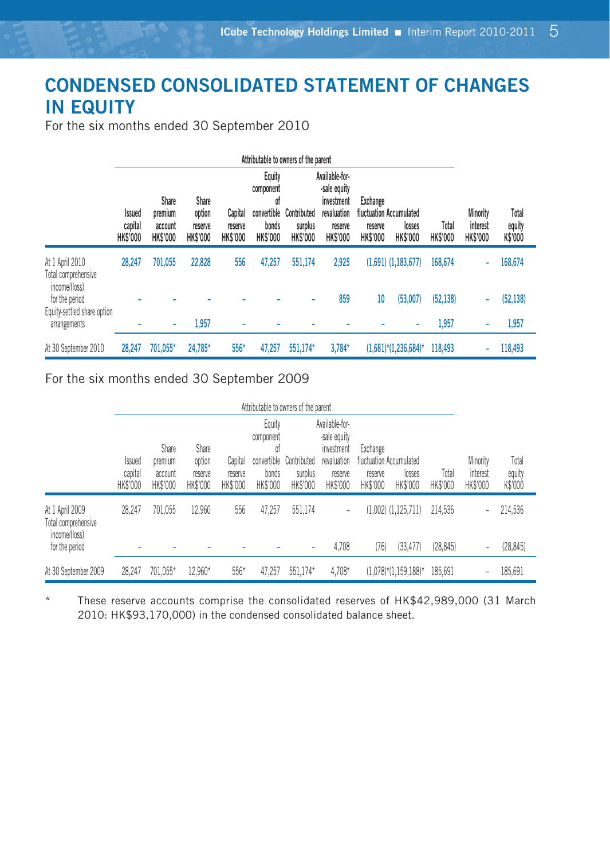# **CONDENSED CONSOLIDATED STATEMENT OF CHANGES IN EQUITY**

For the six months ended 30 September 2010

|                                                         | Attributable to owners of the parent        |                                                       |                                                      |                                       |                                                                      |                                           |                                                                                           |                                               |                                                      |                          |                                         |                            |
|---------------------------------------------------------|---------------------------------------------|-------------------------------------------------------|------------------------------------------------------|---------------------------------------|----------------------------------------------------------------------|-------------------------------------------|-------------------------------------------------------------------------------------------|-----------------------------------------------|------------------------------------------------------|--------------------------|-----------------------------------------|----------------------------|
|                                                         | <b>Issued</b><br>capital<br><b>HK\$'000</b> | <b>Share</b><br>premium<br>account<br><b>HK\$'000</b> | <b>Share</b><br>option<br>reserve<br><b>HK\$'000</b> | Capital<br>reserve<br><b>HK\$'000</b> | Equity<br>component<br>of<br>convertible<br>bonds<br><b>HK\$'000</b> | Contributed<br>surplus<br><b>HK\$'000</b> | Available-for-<br>-sale equity<br>investment<br>revaluation<br>reserve<br><b>HK\$'000</b> | <b>Exchange</b><br>reserve<br><b>HK\$'000</b> | fluctuation Accumulated<br>losses<br><b>HK\$'000</b> | Total<br><b>HK\$'000</b> | Minority<br>interest<br><b>HK\$'000</b> | Total<br>equity<br>K\$'000 |
| At 1 April 2010<br>Total comprehensive<br>income/(loss) | 28,247                                      | 701,055                                               | 22.828                                               | 556                                   | 47,257                                                               | 551,174                                   | 2.925                                                                                     |                                               | $(1,691)$ $(1,183,677)$                              | 168,674                  | ۰                                       | 168,674                    |
| for the period<br>Equity-settled share option           |                                             |                                                       |                                                      |                                       |                                                                      | ٠                                         | 859                                                                                       | 10                                            | (53,007)                                             | (52, 138)                | ۰                                       | (52, 138)                  |
| arrangements                                            |                                             | ۰                                                     | 1,957                                                | ۰                                     |                                                                      |                                           |                                                                                           |                                               | ۰                                                    | 1,957                    | ۰                                       | 1,957                      |
| At 30 September 2010                                    | 28,247                                      | 701.055*                                              | 24.785*                                              | 556*                                  | 47.257                                                               | 551.174*                                  | $3.784*$                                                                                  |                                               | $(1,681)$ <sup>*</sup> $(1,236,684)$ <sup>*</sup>    | 118,493                  | ÷                                       | 118,493                    |

For the six months ended 30 September 2009

|                                                                           | Attributable to owners of the parent |                                         |                                        |                                |                                                               |                                    |                                                                                    |                                                            |                                                   |                      |                                  |                            |
|---------------------------------------------------------------------------|--------------------------------------|-----------------------------------------|----------------------------------------|--------------------------------|---------------------------------------------------------------|------------------------------------|------------------------------------------------------------------------------------|------------------------------------------------------------|---------------------------------------------------|----------------------|----------------------------------|----------------------------|
|                                                                           | <b>ssued</b><br>capital<br>HK\$'000  | Share<br>premium<br>account<br>HK\$'000 | Share<br>option<br>reserve<br>HK\$'000 | Capital<br>reserve<br>HK\$'000 | Equity<br>component<br>01<br>convertible<br>bonds<br>HK\$'000 | Contributed<br>surplus<br>HK\$'000 | Available-for-<br>-sale equity<br>investment<br>revaluation<br>reserve<br>HK\$'000 | Exchange<br>fluctuation Accumulated<br>reserve<br>HK\$'000 | losses<br>HK\$'000                                | Total<br>HK\$'000    | Minority<br>interest<br>HK\$'000 | Total<br>equity<br>K\$'000 |
| At 1 April 2009<br>Total comprehensive<br>income/(loss)<br>for the period | 28.247                               | 701,055                                 | 12.960                                 | 556                            | 47,257                                                        | 551,174                            | -<br>4,708                                                                         | (76)                                                       | $(1,002)$ $(1,125,711)$<br>(33.477)               | 214.536<br>(28, 845) | -                                | 214,536<br>(28, 845)       |
| At 30 September 2009                                                      | 28.247                               | 701.055*                                | 12.960*                                | $556*$                         | 47.257                                                        | 551.174*                           | $4.708*$                                                                           |                                                            | $(1,078)$ <sup>*</sup> $(1,159,188)$ <sup>*</sup> | 185.691              |                                  | 185,691                    |

These reserve accounts comprise the consolidated reserves of HK\$42,989,000 (31 March 2010: HK\$93,170,000) in the condensed consolidated balance sheet.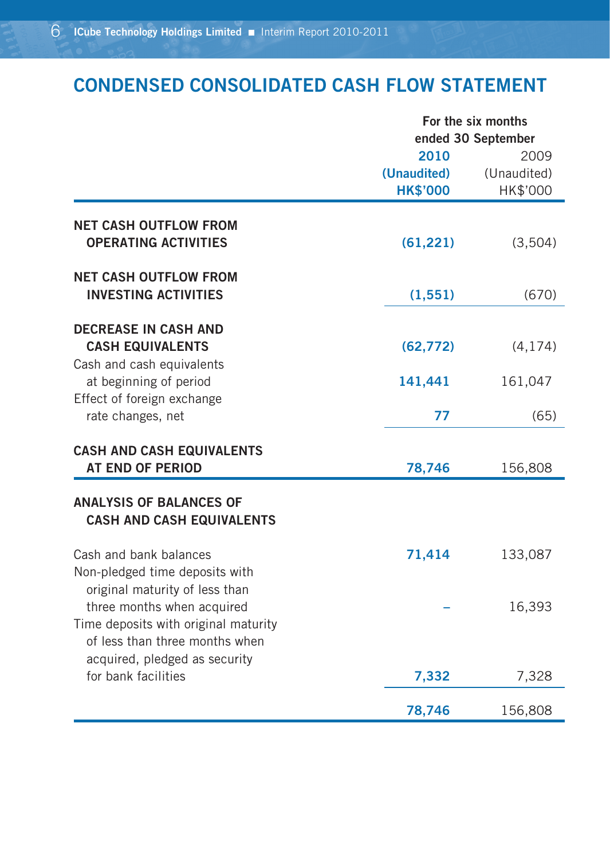# **CONDENSED CONSOLIDATED CASH FLOW STATEMENT**

|                                                                    |                 | For the six months<br>ended 30 September |  |  |  |
|--------------------------------------------------------------------|-----------------|------------------------------------------|--|--|--|
|                                                                    | 2010            | 2009                                     |  |  |  |
|                                                                    | (Unaudited)     | (Unaudited)                              |  |  |  |
|                                                                    | <b>HK\$'000</b> | HK\$'000                                 |  |  |  |
| <b>NET CASH OUTFLOW FROM</b>                                       |                 |                                          |  |  |  |
| <b>OPERATING ACTIVITIES</b>                                        | (61, 221)       | (3,504)                                  |  |  |  |
| <b>NET CASH OUTFLOW FROM</b>                                       |                 |                                          |  |  |  |
| <b>INVESTING ACTIVITIES</b>                                        | (1, 551)        | (670)                                    |  |  |  |
| <b>DECREASE IN CASH AND</b>                                        |                 |                                          |  |  |  |
| <b>CASH EQUIVALENTS</b>                                            | (62, 772)       | (4, 174)                                 |  |  |  |
| Cash and cash equivalents<br>at beginning of period                | 141,441         | 161,047                                  |  |  |  |
| Effect of foreign exchange                                         |                 |                                          |  |  |  |
| rate changes, net                                                  | 77              | (65)                                     |  |  |  |
| <b>CASH AND CASH EQUIVALENTS</b>                                   |                 |                                          |  |  |  |
| <b>AT END OF PERIOD</b>                                            | 78,746          | 156,808                                  |  |  |  |
| <b>ANALYSIS OF BALANCES OF</b><br><b>CASH AND CASH EQUIVALENTS</b> |                 |                                          |  |  |  |
| Cash and bank balances                                             | 71,414          | 133,087                                  |  |  |  |
| Non-pledged time deposits with<br>original maturity of less than   |                 |                                          |  |  |  |
| three months when acquired                                         |                 | 16,393                                   |  |  |  |
| Time deposits with original maturity                               |                 |                                          |  |  |  |
| of less than three months when<br>acquired, pledged as security    |                 |                                          |  |  |  |
| for bank facilities                                                | 7,332           | 7,328                                    |  |  |  |
|                                                                    | 78,746          | 156,808                                  |  |  |  |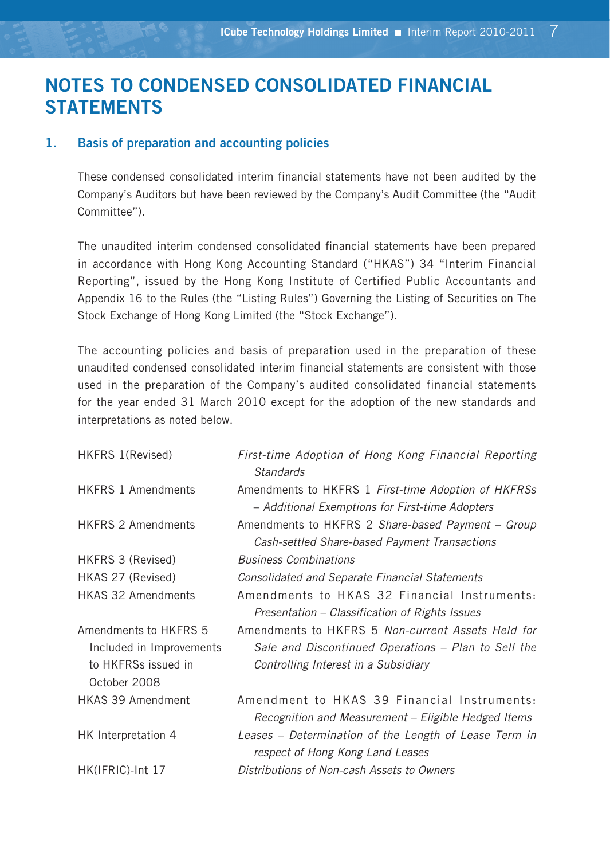# **NOTES TO CONDENSED CONSOLIDATED FINANCIAL STATEMENTS**

#### **1. Basis of preparation and accounting policies**

These condensed consolidated interim financial statements have not been audited by the Company's Auditors but have been reviewed by the Company's Audit Committee (the "Audit Committee").

The unaudited interim condensed consolidated financial statements have been prepared in accordance with Hong Kong Accounting Standard ("HKAS") 34 "Interim Financial Reporting", issued by the Hong Kong Institute of Certified Public Accountants and Appendix 16 to the Rules (the "Listing Rules") Governing the Listing of Securities on The Stock Exchange of Hong Kong Limited (the "Stock Exchange").

The accounting policies and basis of preparation used in the preparation of these unaudited condensed consolidated interim financial statements are consistent with those used in the preparation of the Company's audited consolidated financial statements for the year ended 31 March 2010 except for the adoption of the new standards and interpretations as noted below.

| HKFRS 1(Revised)                                                                         | First-time Adoption of Hong Kong Financial Reporting<br><b>Standards</b>                                                                         |
|------------------------------------------------------------------------------------------|--------------------------------------------------------------------------------------------------------------------------------------------------|
| <b>HKFRS 1 Amendments</b>                                                                | Amendments to HKFRS 1 First-time Adoption of HKFRSs<br>- Additional Exemptions for First-time Adopters                                           |
| <b>HKFRS 2 Amendments</b>                                                                | Amendments to HKFRS 2 Share-based Payment - Group<br>Cash-settled Share-based Payment Transactions                                               |
| HKFRS 3 (Revised)                                                                        | <b>Business Combinations</b>                                                                                                                     |
| HKAS 27 (Revised)                                                                        | Consolidated and Separate Financial Statements                                                                                                   |
| <b>HKAS 32 Amendments</b>                                                                | Amendments to HKAS 32 Financial Instruments:<br>Presentation – Classification of Rights Issues                                                   |
| Amendments to HKFRS 5<br>Included in Improvements<br>to HKFRSs issued in<br>October 2008 | Amendments to HKFRS 5 Non-current Assets Held for<br>Sale and Discontinued Operations – Plan to Sell the<br>Controlling Interest in a Subsidiary |
| <b>HKAS 39 Amendment</b>                                                                 | Amendment to HKAS 39 Financial Instruments:<br>Recognition and Measurement – Eligible Hedged Items                                               |
| HK Interpretation 4                                                                      | Leases – Determination of the Length of Lease Term in<br>respect of Hong Kong Land Leases                                                        |
| HK(IFRIC)-Int 17                                                                         | Distributions of Non-cash Assets to Owners                                                                                                       |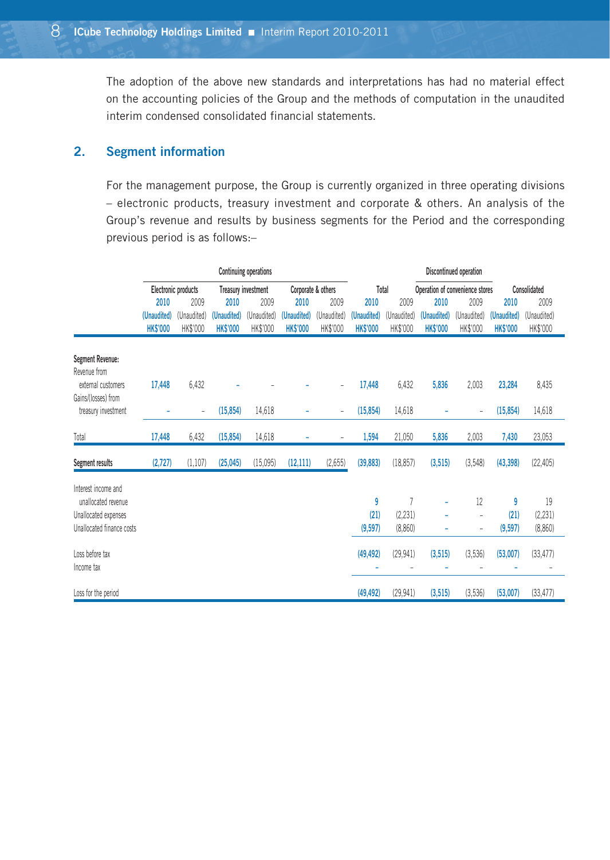The adoption of the above new standards and interpretations has had no material effect on the accounting policies of the Group and the methods of computation in the unaudited interim condensed consolidated financial statements.

### **2. Segment information**

For the management purpose, the Group is currently organized in three operating divisions – electronic products, treasury investment and corporate & others. An analysis of the Group's revenue and results by business segments for the Period and the corresponding previous period is as follows:–

|                                            | <b>Continuing operations</b> |                          |                            |             |                    |             |                 | Discontinued operation |                                 |                |                 |              |  |
|--------------------------------------------|------------------------------|--------------------------|----------------------------|-------------|--------------------|-------------|-----------------|------------------------|---------------------------------|----------------|-----------------|--------------|--|
|                                            |                              | Electronic products      | <b>Treasury investment</b> |             | Corporate & others |             | Total           |                        | Operation of convenience stores |                |                 | Consolidated |  |
|                                            | 2010                         | 2009                     | 2010                       | 2009        | 2010               | 2009        | 2010            | 2009                   | 2010                            | 2009           | 2010            | 2009         |  |
|                                            | (Unaudited)                  | (Unaudited)              | (Unaudited)                | (Unaudited) | (Unaudited)        | (Unaudited) | (Unaudited)     | (Unaudited)            | (Unaudited)                     | (Unaudited)    | (Unaudited)     | (Unaudited)  |  |
|                                            | <b>HK\$'000</b>              | HK\$'000                 | <b>HK\$'000</b>            | HK\$'000    | <b>HK\$'000</b>    | HK\$'000    | <b>HK\$'000</b> | HK\$'000               | <b>HK\$'000</b>                 | HK\$'000       | <b>HK\$'000</b> | HK\$'000     |  |
| <b>Segment Revenue:</b>                    |                              |                          |                            |             |                    |             |                 |                        |                                 |                |                 |              |  |
| Revenue from                               |                              |                          |                            |             |                    |             |                 |                        |                                 |                |                 |              |  |
| external customers                         | 17,448                       | 6,432                    |                            |             |                    | ÷,          | 17,448          | 6,432                  | 5,836                           | 2,003          | 23,284          | 8,435        |  |
| Gains/(losses) from<br>treasury investment | ۰                            | $\overline{\phantom{0}}$ | (15, 854)                  | 14,618      |                    | ÷,          | (15, 854)       | 14,618                 |                                 | $\overline{a}$ | (15, 854)       | 14,618       |  |
|                                            |                              |                          |                            |             |                    |             |                 |                        |                                 |                |                 |              |  |
| Total                                      | 17,448                       | 6,432                    | (15, 854)                  | 14,618      |                    |             | 1,594           | 21,050                 | 5,836                           | 2,003          | 7,430           | 23,053       |  |
| Segment results                            | (2,727)                      | (1, 107)                 | (25,045)                   | (15,095)    | (12, 111)          | (2,655)     | (39, 883)       | (18, 857)              | (3, 515)                        | (3,548)        | (43, 398)       | (22, 405)    |  |
| Interest income and                        |                              |                          |                            |             |                    |             |                 |                        |                                 |                |                 |              |  |
| unallocated revenue                        |                              |                          |                            |             |                    |             | 9               | 7                      |                                 | 12             | 9               | 19           |  |
| Unallocated expenses                       |                              |                          |                            |             |                    |             | (21)            | (2, 231)               |                                 | i,             | (21)            | (2, 231)     |  |
| Unallocated finance costs                  |                              |                          |                            |             |                    |             | (9,597)         | (8,860)                |                                 | ٠              | (9,597)         | (8,860)      |  |
| Loss before tax                            |                              |                          |                            |             |                    |             | (49, 492)       | (29, 941)              | (3, 515)                        | (3,536)        | (53,007)        | (33, 477)    |  |
| Income tax                                 |                              |                          |                            |             |                    |             |                 |                        |                                 |                |                 |              |  |
| Loss for the period                        |                              |                          |                            |             |                    |             | (49, 492)       | (29, 941)              | (3, 515)                        | (3,536)        | (53,007)        | (33, 477)    |  |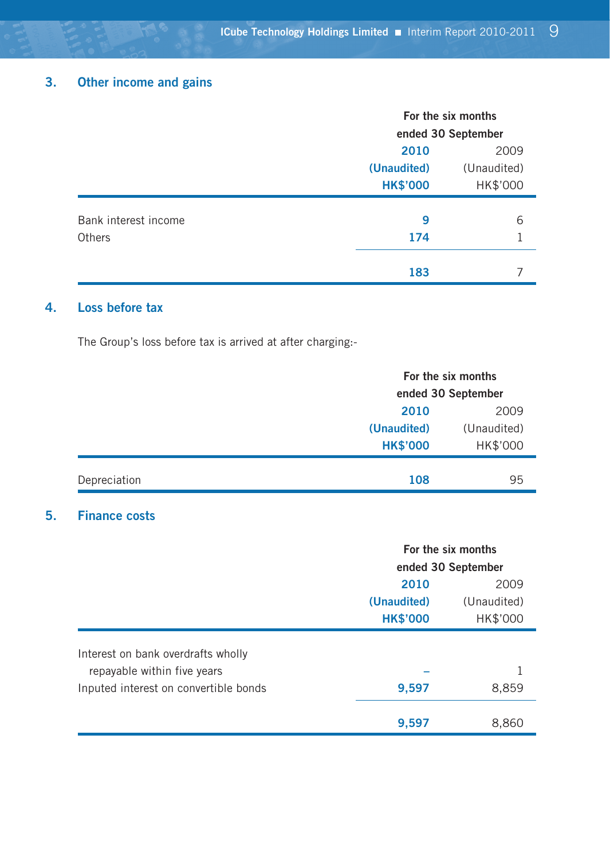# **3. Other income and gains**

|                      | For the six months |                    |  |  |
|----------------------|--------------------|--------------------|--|--|
|                      |                    | ended 30 September |  |  |
|                      | 2010               | 2009               |  |  |
|                      | (Unaudited)        | (Unaudited)        |  |  |
|                      | <b>HK\$'000</b>    | HK\$'000           |  |  |
| Bank interest income | 9                  | 6                  |  |  |
|                      |                    |                    |  |  |
| Others               | 174                |                    |  |  |
|                      | 183                |                    |  |  |

### **4. Loss before tax**

The Group's loss before tax is arrived at after charging:-

|              |                                        | For the six months<br>ended 30 September |  |  |
|--------------|----------------------------------------|------------------------------------------|--|--|
|              | 2010<br>(Unaudited)<br><b>HK\$'000</b> | 2009<br>(Unaudited)<br>HK\$'000          |  |  |
| Depreciation | 108                                    | 95                                       |  |  |

### **5. Finance costs**

|                                       | For the six months |                    |  |  |
|---------------------------------------|--------------------|--------------------|--|--|
|                                       |                    | ended 30 September |  |  |
|                                       | 2010               | 2009               |  |  |
|                                       | (Unaudited)        | (Unaudited)        |  |  |
|                                       | <b>HK\$'000</b>    | HK\$'000           |  |  |
| Interest on bank overdrafts wholly    |                    |                    |  |  |
| repayable within five years           |                    |                    |  |  |
| Inputed interest on convertible bonds | 9,597              | 8,859              |  |  |
|                                       | 9,597              | 8,860              |  |  |
|                                       |                    |                    |  |  |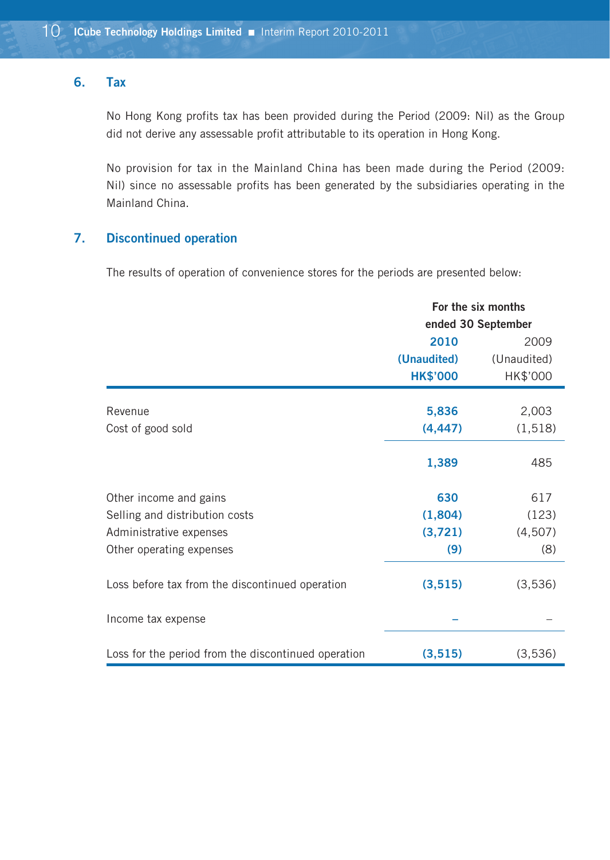#### **6. Tax**

No Hong Kong profits tax has been provided during the Period (2009: Nil) as the Group did not derive any assessable profit attributable to its operation in Hong Kong.

No provision for tax in the Mainland China has been made during the Period (2009: Nil) since no assessable profits has been generated by the subsidiaries operating in the Mainland China.

### **7. Discontinued operation**

The results of operation of convenience stores for the periods are presented below:

|                                                     | For the six months |             |  |  |
|-----------------------------------------------------|--------------------|-------------|--|--|
|                                                     | ended 30 September |             |  |  |
|                                                     | 2010               | 2009        |  |  |
|                                                     | (Unaudited)        | (Unaudited) |  |  |
|                                                     | <b>HK\$'000</b>    | HK\$'000    |  |  |
| Revenue                                             | 5,836              | 2,003       |  |  |
| Cost of good sold                                   | (4, 447)           | (1,518)     |  |  |
|                                                     |                    |             |  |  |
|                                                     | 1,389              | 485         |  |  |
| Other income and gains                              | 630                | 617         |  |  |
| Selling and distribution costs                      | (1,804)            | (123)       |  |  |
| Administrative expenses                             | (3,721)            | (4,507)     |  |  |
| Other operating expenses                            | (9)                | (8)         |  |  |
| Loss before tax from the discontinued operation     | (3, 515)           | (3,536)     |  |  |
| Income tax expense                                  |                    |             |  |  |
| Loss for the period from the discontinued operation | (3, 515)           | (3,536)     |  |  |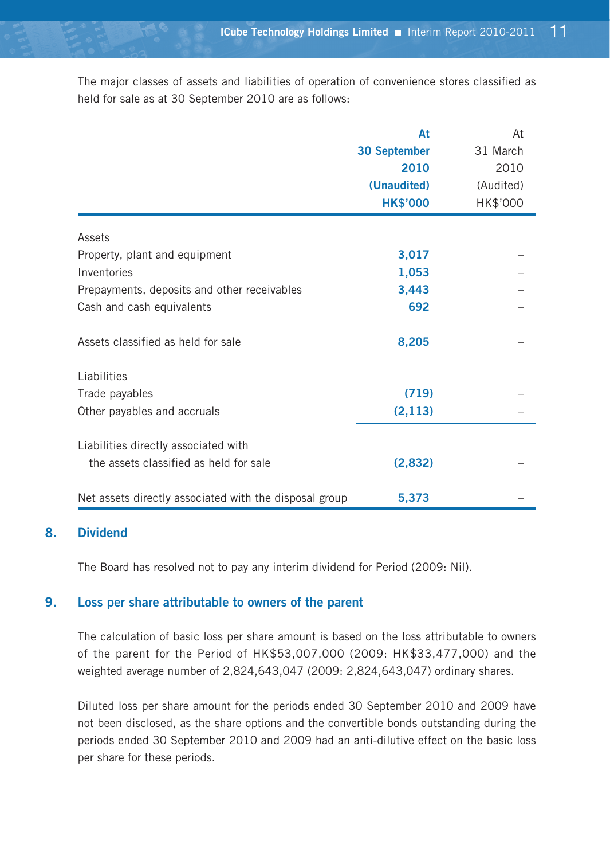The major classes of assets and liabilities of operation of convenience stores classified as held for sale as at 30 September 2010 are as follows:

|                                                        | At              | At        |
|--------------------------------------------------------|-----------------|-----------|
|                                                        | 30 September    | 31 March  |
|                                                        | 2010            | 2010      |
|                                                        | (Unaudited)     | (Audited) |
|                                                        | <b>HK\$'000</b> | HK\$'000  |
| Assets                                                 |                 |           |
| Property, plant and equipment                          | 3,017           |           |
| Inventories                                            | 1,053           |           |
| Prepayments, deposits and other receivables            | 3,443           |           |
| Cash and cash equivalents                              | 692             |           |
| Assets classified as held for sale                     | 8,205           |           |
| Liabilities                                            |                 |           |
| Trade payables                                         | (719)           |           |
| Other payables and accruals                            | (2, 113)        |           |
| Liabilities directly associated with                   |                 |           |
| the assets classified as held for sale                 | (2,832)         |           |
| Net assets directly associated with the disposal group | 5,373           |           |

### **8. Dividend**

The Board has resolved not to pay any interim dividend for Period (2009: Nil).

#### **9. Loss per share attributable to owners of the parent**

The calculation of basic loss per share amount is based on the loss attributable to owners of the parent for the Period of HK\$53,007,000 (2009: HK\$33,477,000) and the weighted average number of 2,824,643,047 (2009: 2,824,643,047) ordinary shares.

Diluted loss per share amount for the periods ended 30 September 2010 and 2009 have not been disclosed, as the share options and the convertible bonds outstanding during the periods ended 30 September 2010 and 2009 had an anti-dilutive effect on the basic loss per share for these periods.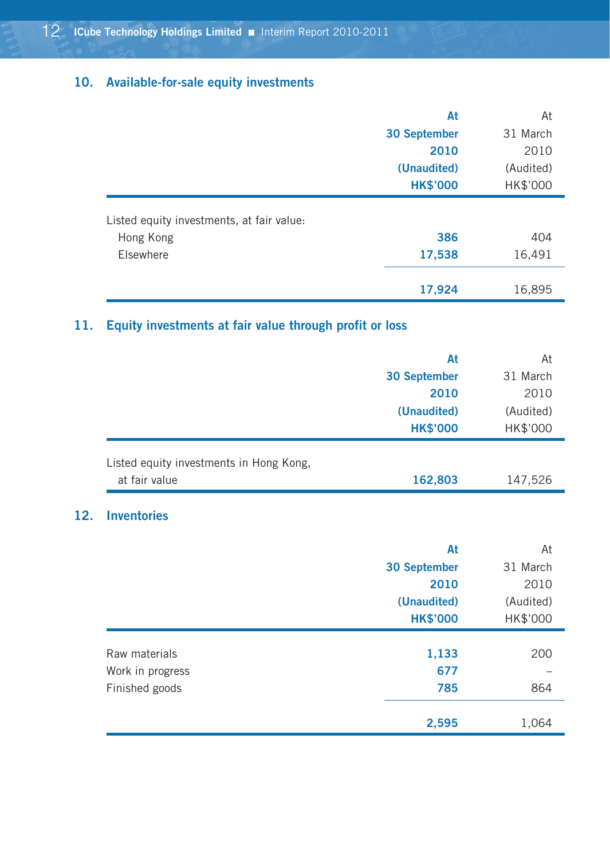# **10. Available-for-sale equity investments**

|                                           | At                  | At        |
|-------------------------------------------|---------------------|-----------|
|                                           | <b>30 September</b> | 31 March  |
|                                           | 2010                | 2010      |
|                                           | (Unaudited)         | (Audited) |
|                                           | <b>HK\$'000</b>     | HK\$'000  |
| Listed equity investments, at fair value: |                     |           |
| Hong Kong                                 | 386                 | 404       |
| Elsewhere                                 | 17,538              | 16,491    |
|                                           | 17,924              | 16,895    |

# **11. Equity investments at fair value through profit or loss**

| 31 March  |
|-----------|
| 2010      |
| (Audited) |
| HK\$'000  |
| 147,526   |
| 162,803   |
|           |

### **12. Inventories**

|                  | At                  | At        |
|------------------|---------------------|-----------|
|                  | <b>30 September</b> | 31 March  |
|                  | 2010                | 2010      |
|                  | (Unaudited)         | (Audited) |
|                  | <b>HK\$'000</b>     | HK\$'000  |
|                  |                     |           |
| Raw materials    | 1,133               | 200       |
| Work in progress | 677                 |           |
| Finished goods   | 785                 | 864       |
|                  |                     |           |
|                  | 2,595               | 1,064     |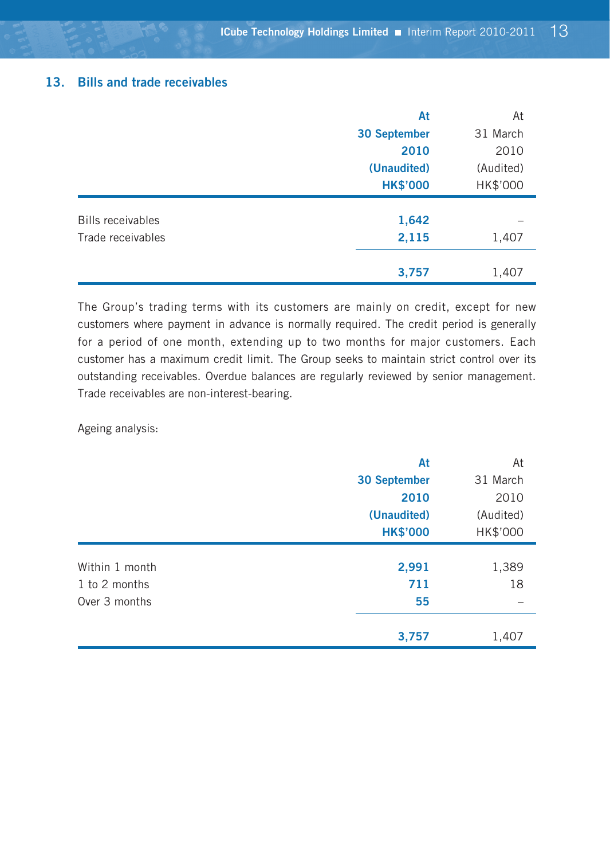#### **13. Bills and trade receivables**

|                          | At                  | At        |
|--------------------------|---------------------|-----------|
|                          | <b>30 September</b> | 31 March  |
|                          | 2010                | 2010      |
|                          | (Unaudited)         | (Audited) |
|                          | <b>HK\$'000</b>     | HK\$'000  |
|                          |                     |           |
| <b>Bills receivables</b> | 1,642               |           |
| Trade receivables        | 2,115               | 1,407     |
|                          |                     |           |
|                          | 3,757               | 1,407     |

The Group's trading terms with its customers are mainly on credit, except for new customers where payment in advance is normally required. The credit period is generally for a period of one month, extending up to two months for major customers. Each customer has a maximum credit limit. The Group seeks to maintain strict control over its outstanding receivables. Overdue balances are regularly reviewed by senior management. Trade receivables are non-interest-bearing.

Ageing analysis:

|                | At                  | At        |
|----------------|---------------------|-----------|
|                | <b>30 September</b> | 31 March  |
|                | 2010                | 2010      |
|                | (Unaudited)         | (Audited) |
|                | <b>HK\$'000</b>     | HK\$'000  |
|                |                     |           |
| Within 1 month | 2,991               | 1,389     |
| 1 to 2 months  | 711                 | 18        |
| Over 3 months  | 55                  |           |
|                |                     |           |
|                | 3,757               | 1,407     |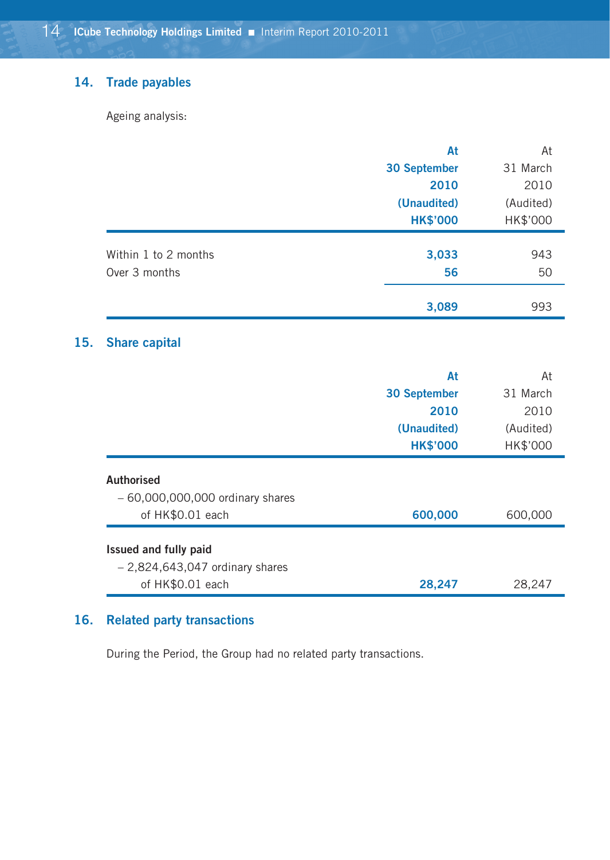### **14. Trade payables**

Ageing analysis:

|                      | At                  | At        |
|----------------------|---------------------|-----------|
|                      | <b>30 September</b> | 31 March  |
|                      | 2010                | 2010      |
|                      | (Unaudited)         | (Audited) |
|                      | <b>HK\$'000</b>     | HK\$'000  |
|                      |                     |           |
| Within 1 to 2 months | 3,033               | 943       |
| Over 3 months        | 56                  | 50        |
|                      | 3,089               | 993       |

# **15. Share capital**

|                                   | At                  | At        |
|-----------------------------------|---------------------|-----------|
|                                   | <b>30 September</b> | 31 March  |
|                                   | 2010                | 2010      |
|                                   | (Unaudited)         | (Audited) |
|                                   | <b>HK\$'000</b>     | HK\$'000  |
| <b>Authorised</b>                 |                     |           |
| $-60,000,000,000$ ordinary shares |                     |           |
| of HK\$0.01 each                  | 600,000             | 600,000   |
| Issued and fully paid             |                     |           |
| $-2,824,643,047$ ordinary shares  |                     |           |
| of HK\$0.01 each                  | 28.247              | 28,247    |

### **16. Related party transactions**

During the Period, the Group had no related party transactions.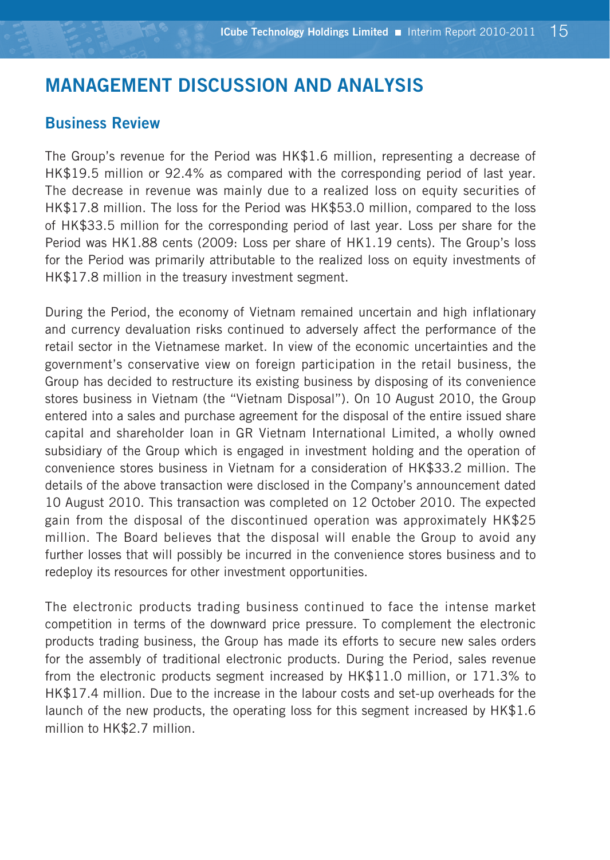# **MANAGEMENT DISCUSSION AND ANALYSIS**

# **Business Review**

The Group's revenue for the Period was HK\$1.6 million, representing a decrease of HK\$19.5 million or 92.4% as compared with the corresponding period of last year. The decrease in revenue was mainly due to a realized loss on equity securities of HK\$17.8 million. The loss for the Period was HK\$53.0 million, compared to the loss of HK\$33.5 million for the corresponding period of last year. Loss per share for the Period was HK1.88 cents (2009: Loss per share of HK1.19 cents). The Group's loss for the Period was primarily attributable to the realized loss on equity investments of HK\$17.8 million in the treasury investment segment.

During the Period, the economy of Vietnam remained uncertain and high inflationary and currency devaluation risks continued to adversely affect the performance of the retail sector in the Vietnamese market. In view of the economic uncertainties and the government's conservative view on foreign participation in the retail business, the Group has decided to restructure its existing business by disposing of its convenience stores business in Vietnam (the "Vietnam Disposal"). On 10 August 2010, the Group entered into a sales and purchase agreement for the disposal of the entire issued share capital and shareholder loan in GR Vietnam International Limited, a wholly owned subsidiary of the Group which is engaged in investment holding and the operation of convenience stores business in Vietnam for a consideration of HK\$33.2 million. The details of the above transaction were disclosed in the Company's announcement dated 10 August 2010. This transaction was completed on 12 October 2010. The expected gain from the disposal of the discontinued operation was approximately HK\$25 million. The Board believes that the disposal will enable the Group to avoid any further losses that will possibly be incurred in the convenience stores business and to redeploy its resources for other investment opportunities.

The electronic products trading business continued to face the intense market competition in terms of the downward price pressure. To complement the electronic products trading business, the Group has made its efforts to secure new sales orders for the assembly of traditional electronic products. During the Period, sales revenue from the electronic products segment increased by HK\$11.0 million, or 171.3% to HK\$17.4 million. Due to the increase in the labour costs and set-up overheads for the launch of the new products, the operating loss for this segment increased by HK\$1.6 million to HK\$2.7 million.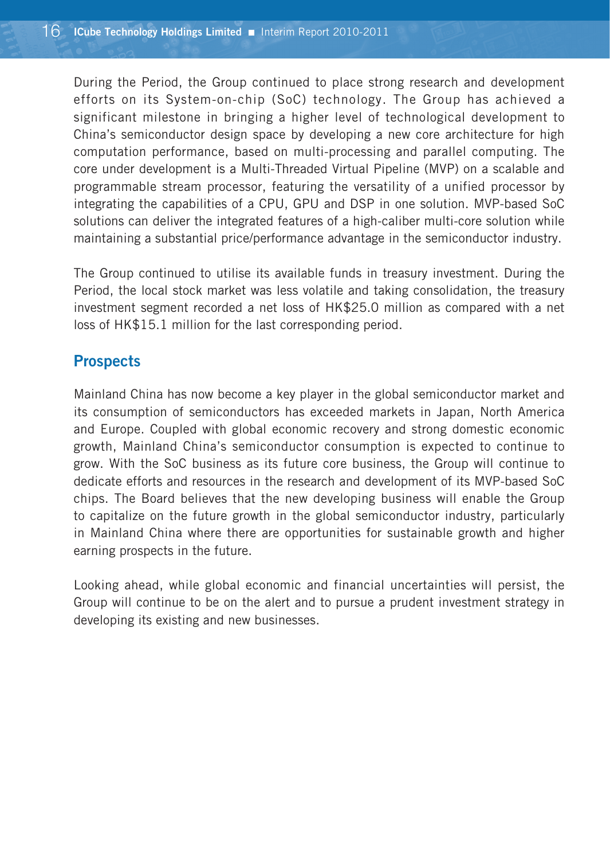During the Period, the Group continued to place strong research and development efforts on its System-on-chip (SoC) technology. The Group has achieved a significant milestone in bringing a higher level of technological development to China's semiconductor design space by developing a new core architecture for high computation performance, based on multi-processing and parallel computing. The core under development is a Multi-Threaded Virtual Pipeline (MVP) on a scalable and programmable stream processor, featuring the versatility of a unified processor by integrating the capabilities of a CPU, GPU and DSP in one solution. MVP-based SoC solutions can deliver the integrated features of a high-caliber multi-core solution while maintaining a substantial price/performance advantage in the semiconductor industry.

The Group continued to utilise its available funds in treasury investment. During the Period, the local stock market was less volatile and taking consolidation, the treasury investment segment recorded a net loss of HK\$25.0 million as compared with a net loss of HK\$15.1 million for the last corresponding period.

# **Prospects**

Mainland China has now become a key player in the global semiconductor market and its consumption of semiconductors has exceeded markets in Japan, North America and Europe. Coupled with global economic recovery and strong domestic economic growth, Mainland China's semiconductor consumption is expected to continue to grow. With the SoC business as its future core business, the Group will continue to dedicate efforts and resources in the research and development of its MVP-based SoC chips. The Board believes that the new developing business will enable the Group to capitalize on the future growth in the global semiconductor industry, particularly in Mainland China where there are opportunities for sustainable growth and higher earning prospects in the future.

Looking ahead, while global economic and financial uncertainties will persist, the Group will continue to be on the alert and to pursue a prudent investment strategy in developing its existing and new businesses.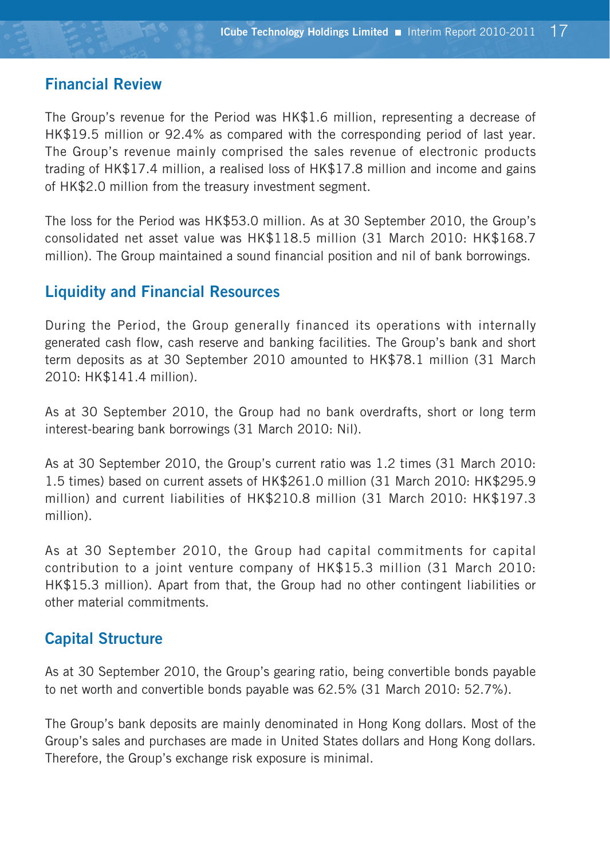# **Financial Review**

The Group's revenue for the Period was HK\$1.6 million, representing a decrease of HK\$19.5 million or 92.4% as compared with the corresponding period of last year. The Group's revenue mainly comprised the sales revenue of electronic products trading of HK\$17.4 million, a realised loss of HK\$17.8 million and income and gains of HK\$2.0 million from the treasury investment segment.

The loss for the Period was HK\$53.0 million. As at 30 September 2010, the Group's consolidated net asset value was HK\$118.5 million (31 March 2010: HK\$168.7 million). The Group maintained a sound financial position and nil of bank borrowings.

# **Liquidity and Financial Resources**

During the Period, the Group generally financed its operations with internally generated cash flow, cash reserve and banking facilities. The Group's bank and short term deposits as at 30 September 2010 amounted to HK\$78.1 million (31 March 2010: HK\$141.4 million).

As at 30 September 2010, the Group had no bank overdrafts, short or long term interest-bearing bank borrowings (31 March 2010: Nil).

As at 30 September 2010, the Group's current ratio was 1.2 times (31 March 2010: 1.5 times) based on current assets of HK\$261.0 million (31 March 2010: HK\$295.9 million) and current liabilities of HK\$210.8 million (31 March 2010: HK\$197.3 million).

As at 30 September 2010, the Group had capital commitments for capital contribution to a joint venture company of HK\$15.3 million (31 March 2010: HK\$15.3 million). Apart from that, the Group had no other contingent liabilities or other material commitments.

# **Capital Structure**

As at 30 September 2010, the Group's gearing ratio, being convertible bonds payable to net worth and convertible bonds payable was 62.5% (31 March 2010: 52.7%).

The Group's bank deposits are mainly denominated in Hong Kong dollars. Most of the Group's sales and purchases are made in United States dollars and Hong Kong dollars. Therefore, the Group's exchange risk exposure is minimal.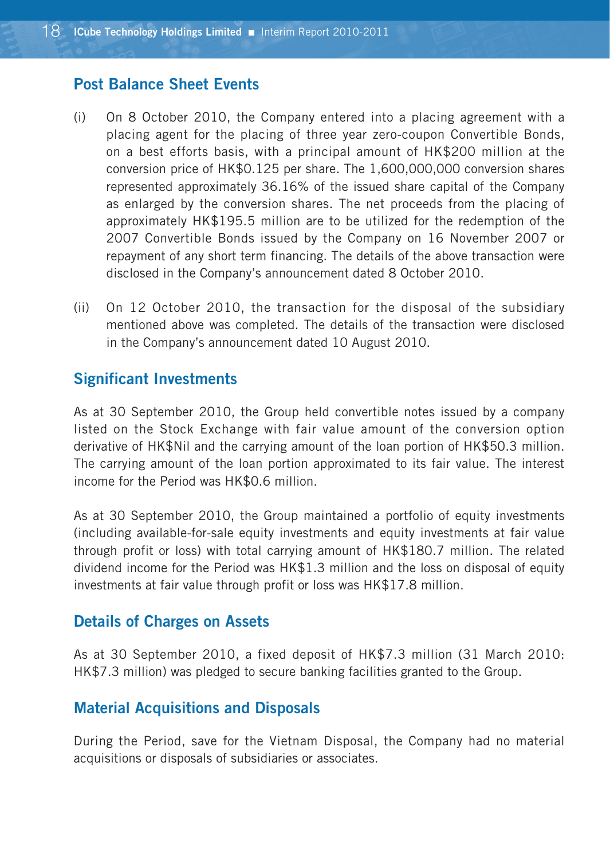### **Post Balance Sheet Events**

- (i) On 8 October 2010, the Company entered into a placing agreement with a placing agent for the placing of three year zero-coupon Convertible Bonds, on a best efforts basis, with a principal amount of HK\$200 million at the conversion price of HK\$0.125 per share. The 1,600,000,000 conversion shares represented approximately 36.16% of the issued share capital of the Company as enlarged by the conversion shares. The net proceeds from the placing of approximately HK\$195.5 million are to be utilized for the redemption of the 2007 Convertible Bonds issued by the Company on 16 November 2007 or repayment of any short term financing. The details of the above transaction were disclosed in the Company's announcement dated 8 October 2010.
- (ii) On 12 October 2010, the transaction for the disposal of the subsidiary mentioned above was completed. The details of the transaction were disclosed in the Company's announcement dated 10 August 2010.

### **Significant Investments**

As at 30 September 2010, the Group held convertible notes issued by a company listed on the Stock Exchange with fair value amount of the conversion option derivative of HK\$Nil and the carrying amount of the loan portion of HK\$50.3 million. The carrying amount of the loan portion approximated to its fair value. The interest income for the Period was HK\$0.6 million.

As at 30 September 2010, the Group maintained a portfolio of equity investments (including available-for-sale equity investments and equity investments at fair value through profit or loss) with total carrying amount of HK\$180.7 million. The related dividend income for the Period was HK\$1.3 million and the loss on disposal of equity investments at fair value through profit or loss was HK\$17.8 million.

### **Details of Charges on Assets**

As at 30 September 2010, a fixed deposit of HK\$7.3 million (31 March 2010: HK\$7.3 million) was pledged to secure banking facilities granted to the Group.

### **Material Acquisitions and Disposals**

During the Period, save for the Vietnam Disposal, the Company had no material acquisitions or disposals of subsidiaries or associates.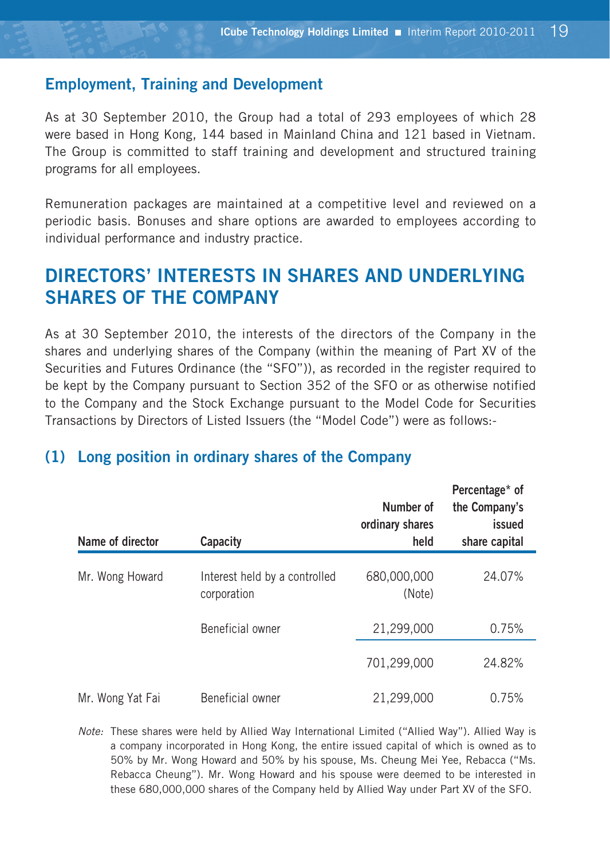### **Employment, Training and Development**

As at 30 September 2010, the Group had a total of 293 employees of which 28 were based in Hong Kong, 144 based in Mainland China and 121 based in Vietnam. The Group is committed to staff training and development and structured training programs for all employees.

Remuneration packages are maintained at a competitive level and reviewed on a periodic basis. Bonuses and share options are awarded to employees according to individual performance and industry practice.

# **DIRECTORS' INTERESTS IN SHARES AND UNDERLYING SHARES OF THE COMPANY**

As at 30 September 2010, the interests of the directors of the Company in the shares and underlying shares of the Company (within the meaning of Part XV of the Securities and Futures Ordinance (the "SFO")), as recorded in the register required to be kept by the Company pursuant to Section 352 of the SFO or as otherwise notified to the Company and the Stock Exchange pursuant to the Model Code for Securities Transactions by Directors of Listed Issuers (the "Model Code") were as follows:-

## **(1) Long position in ordinary shares of the Company**

| Name of director | Capacity                                     | Number of<br>ordinary shares<br>held | Percentage* of<br>the Company's<br>issued<br>share capital |
|------------------|----------------------------------------------|--------------------------------------|------------------------------------------------------------|
| Mr. Wong Howard  | Interest held by a controlled<br>corporation | 680,000,000<br>(Note)                | 24.07%                                                     |
|                  | Beneficial owner                             | 21,299,000                           | 0.75%                                                      |
|                  |                                              | 701,299,000                          | 24.82%                                                     |
| Mr. Wong Yat Fai | Beneficial owner                             | 21,299,000                           | 0.75%                                                      |

*Note:* These shares were held by Allied Way International Limited ("Allied Way"). Allied Way is a company incorporated in Hong Kong, the entire issued capital of which is owned as to 50% by Mr. Wong Howard and 50% by his spouse, Ms. Cheung Mei Yee, Rebacca ("Ms. Rebacca Cheung"). Mr. Wong Howard and his spouse were deemed to be interested in these 680,000,000 shares of the Company held by Allied Way under Part XV of the SFO.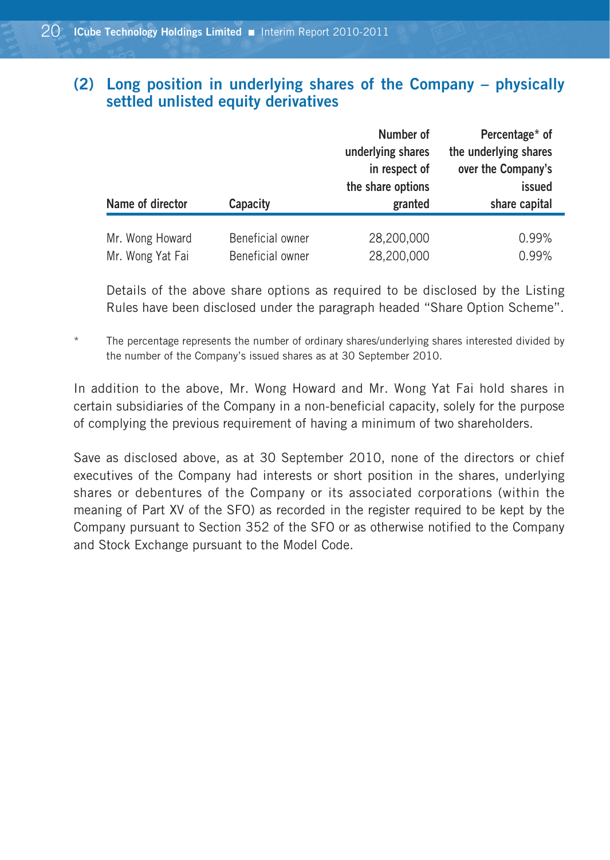# **(2) Long position in underlying shares of the Company – physically settled unlisted equity derivatives**

| issued<br>share capital |
|-------------------------|
|                         |
| 0.99%<br>0.99%          |
|                         |

Details of the above share options as required to be disclosed by the Listing Rules have been disclosed under the paragraph headed "Share Option Scheme".

The percentage represents the number of ordinary shares/underlying shares interested divided by the number of the Company's issued shares as at 30 September 2010.

In addition to the above, Mr. Wong Howard and Mr. Wong Yat Fai hold shares in certain subsidiaries of the Company in a non-beneficial capacity, solely for the purpose of complying the previous requirement of having a minimum of two shareholders.

Save as disclosed above, as at 30 September 2010, none of the directors or chief executives of the Company had interests or short position in the shares, underlying shares or debentures of the Company or its associated corporations (within the meaning of Part XV of the SFO) as recorded in the register required to be kept by the Company pursuant to Section 352 of the SFO or as otherwise notified to the Company and Stock Exchange pursuant to the Model Code.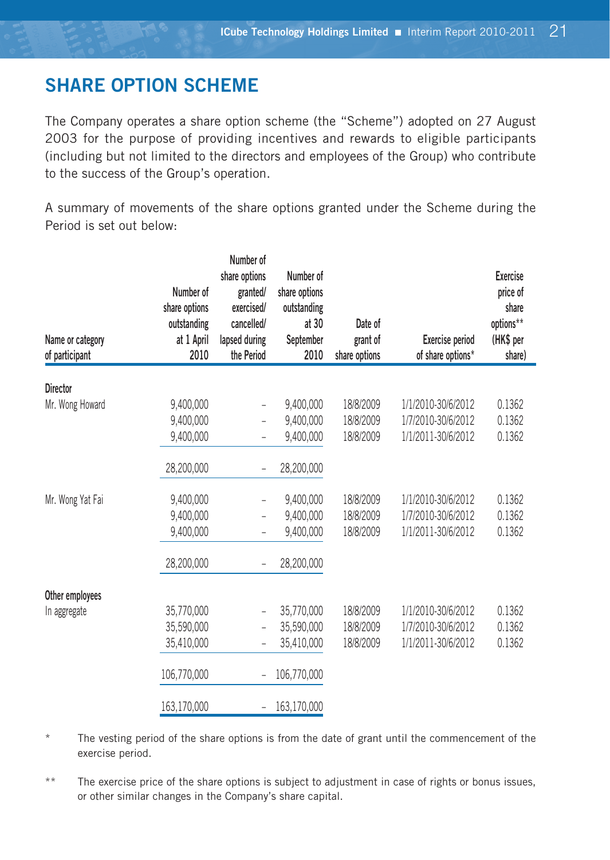# **SHARE OPTION SCHEME**

The Company operates a share option scheme (the "Scheme") adopted on 27 August 2003 for the purpose of providing incentives and rewards to eligible participants (including but not limited to the directors and employees of the Group) who contribute to the success of the Group's operation.

A summary of movements of the share options granted under the Scheme during the Period is set out below:

| Name or category<br>of participant | Number of<br>share options<br>outstanding<br>at 1 April<br>2010 | Number of<br>share options<br>granted/<br>exercised/<br>cancelled/<br>lapsed during<br>the Period | Number of<br>share options<br>outstanding<br>at 30<br>September<br>2010 | Date of<br>grant of<br>share options | <b>Exercise period</b><br>of share options* | <b>Exercise</b><br>price of<br>share<br>options**<br>(HK\$ per<br>share) |
|------------------------------------|-----------------------------------------------------------------|---------------------------------------------------------------------------------------------------|-------------------------------------------------------------------------|--------------------------------------|---------------------------------------------|--------------------------------------------------------------------------|
| <b>Director</b>                    |                                                                 |                                                                                                   |                                                                         |                                      |                                             |                                                                          |
| Mr. Wong Howard                    | 9,400,000                                                       | $\overline{\phantom{0}}$                                                                          | 9,400,000                                                               | 18/8/2009                            | 1/1/2010-30/6/2012                          | 0.1362                                                                   |
|                                    | 9,400,000                                                       |                                                                                                   | 9.400.000                                                               | 18/8/2009                            | 1/7/2010-30/6/2012                          | 0.1362                                                                   |
|                                    | 9,400,000                                                       | ÷,                                                                                                | 9,400,000                                                               | 18/8/2009                            | 1/1/2011-30/6/2012                          | 0.1362                                                                   |
|                                    | 28,200,000                                                      |                                                                                                   | 28,200,000                                                              |                                      |                                             |                                                                          |
| Mr. Wong Yat Fai                   | 9,400,000                                                       | $\overline{a}$                                                                                    | 9,400,000                                                               | 18/8/2009                            | 1/1/2010-30/6/2012                          | 0.1362                                                                   |
|                                    | 9,400,000                                                       | $\overline{a}$                                                                                    | 9,400,000                                                               | 18/8/2009                            | 1/7/2010-30/6/2012                          | 0.1362                                                                   |
|                                    | 9.400.000                                                       | ÷,                                                                                                | 9.400.000                                                               | 18/8/2009                            | 1/1/2011-30/6/2012                          | 0.1362                                                                   |
|                                    | 28,200,000                                                      | $\overline{\phantom{0}}$                                                                          | 28,200,000                                                              |                                      |                                             |                                                                          |
| Other employees                    |                                                                 |                                                                                                   |                                                                         |                                      |                                             |                                                                          |
| In aggregate                       | 35,770,000                                                      | $\overline{\phantom{0}}$                                                                          | 35,770,000                                                              | 18/8/2009                            | 1/1/2010-30/6/2012                          | 0.1362                                                                   |
|                                    | 35,590,000                                                      | $\overline{a}$                                                                                    | 35,590,000                                                              | 18/8/2009                            | 1/7/2010-30/6/2012                          | 0.1362                                                                   |
|                                    | 35,410,000                                                      | ÷,                                                                                                | 35,410,000                                                              | 18/8/2009                            | 1/1/2011-30/6/2012                          | 0.1362                                                                   |
|                                    | 106.770.000                                                     | $\overline{\phantom{0}}$                                                                          | 106,770,000                                                             |                                      |                                             |                                                                          |
|                                    | 163,170,000                                                     |                                                                                                   | 163,170,000                                                             |                                      |                                             |                                                                          |

The vesting period of the share options is from the date of grant until the commencement of the exercise period.

\*\* The exercise price of the share options is subject to adjustment in case of rights or bonus issues, or other similar changes in the Company's share capital.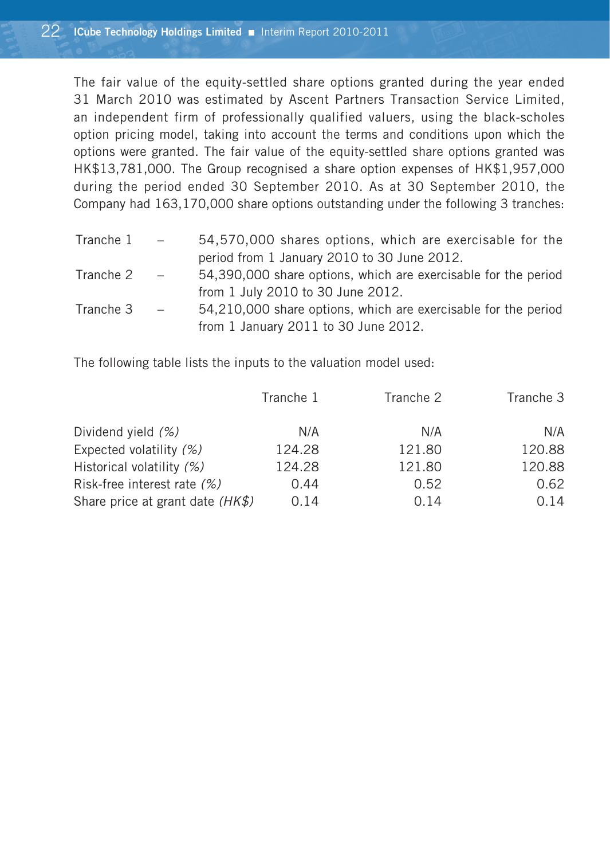The fair value of the equity-settled share options granted during the year ended 31 March 2010 was estimated by Ascent Partners Transaction Service Limited, an independent firm of professionally qualified valuers, using the black-scholes option pricing model, taking into account the terms and conditions upon which the options were granted. The fair value of the equity-settled share options granted was HK\$13,781,000. The Group recognised a share option expenses of HK\$1,957,000 during the period ended 30 September 2010. As at 30 September 2010, the Company had 163,170,000 share options outstanding under the following 3 tranches:

| Tranche $1 -$ |                                                             | 54,570,000 shares options, which are exercisable for the       |
|---------------|-------------------------------------------------------------|----------------------------------------------------------------|
|               |                                                             | period from 1 January 2010 to 30 June 2012.                    |
| Tranche 2     | $\mathcal{L}^{\mathcal{L}}$ and $\mathcal{L}^{\mathcal{L}}$ | 54,390,000 share options, which are exercisable for the period |
|               |                                                             | from 1 July 2010 to 30 June 2012.                              |
| Tranche 3     | $\sim$ $-$                                                  | 54,210,000 share options, which are exercisable for the period |
|               |                                                             | from 1 January 2011 to 30 June 2012.                           |

The following table lists the inputs to the valuation model used:

|                                  | Tranche 1 | Tranche 2 | Tranche 3 |
|----------------------------------|-----------|-----------|-----------|
| Dividend yield (%)               | N/A       | N/A       | N/A       |
| Expected volatility (%)          | 124.28    | 121.80    | 120.88    |
| Historical volatility (%)        | 124.28    | 121.80    | 120.88    |
| Risk-free interest rate (%)      | 0.44      | 0.52      | 0.62      |
| Share price at grant date (HK\$) | 0.14      | 0.14      | 0.14      |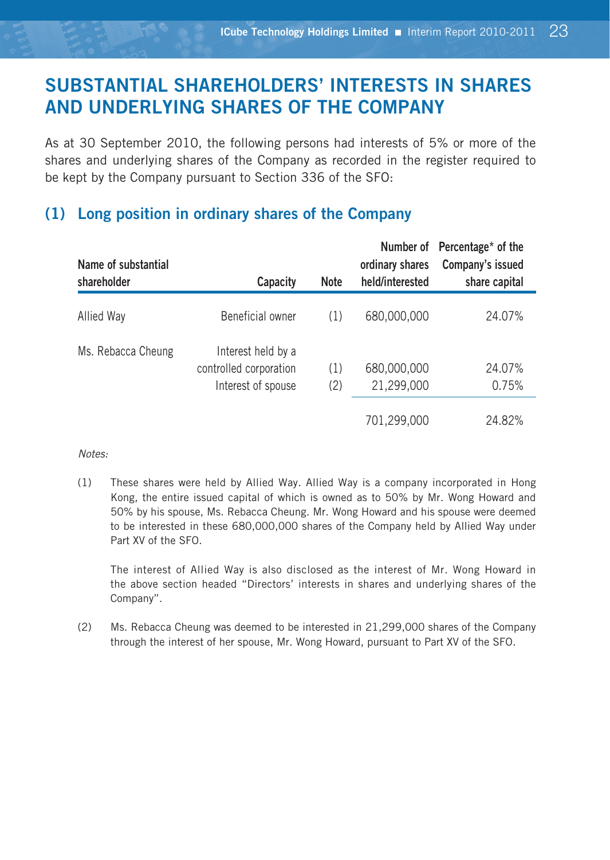# **SUBSTANTIAL SHAREHOLDERS' INTERESTS IN SHARES AND UNDERLYING SHARES OF THE COMPANY**

As at 30 September 2010, the following persons had interests of 5% or more of the shares and underlying shares of the Company as recorded in the register required to be kept by the Company pursuant to Section 336 of the SFO:

# **(1) Long position in ordinary shares of the Company**

| Name of substantial<br>shareholder | Capacity                                                           | <b>Note</b> | ordinary shares<br>held/interested | Number of Percentage* of the<br>Company's issued<br>share capital |
|------------------------------------|--------------------------------------------------------------------|-------------|------------------------------------|-------------------------------------------------------------------|
| Allied Way                         | Beneficial owner                                                   | (1)         | 680,000,000                        | 24.07%                                                            |
| Ms. Rebacca Cheung                 | Interest held by a<br>controlled corporation<br>Interest of spouse | (1)<br>(2)  | 680,000,000<br>21,299,000          | 24.07%<br>0.75%                                                   |
|                                    |                                                                    |             | 701,299,000                        | 24.82%                                                            |

#### *Notes:*

(1) These shares were held by Allied Way. Allied Way is a company incorporated in Hong Kong, the entire issued capital of which is owned as to 50% by Mr. Wong Howard and 50% by his spouse, Ms. Rebacca Cheung. Mr. Wong Howard and his spouse were deemed to be interested in these 680,000,000 shares of the Company held by Allied Way under Part XV of the SFO.

The interest of Allied Way is also disclosed as the interest of Mr. Wong Howard in the above section headed "Directors' interests in shares and underlying shares of the Company".

(2) Ms. Rebacca Cheung was deemed to be interested in 21,299,000 shares of the Company through the interest of her spouse, Mr. Wong Howard, pursuant to Part XV of the SFO.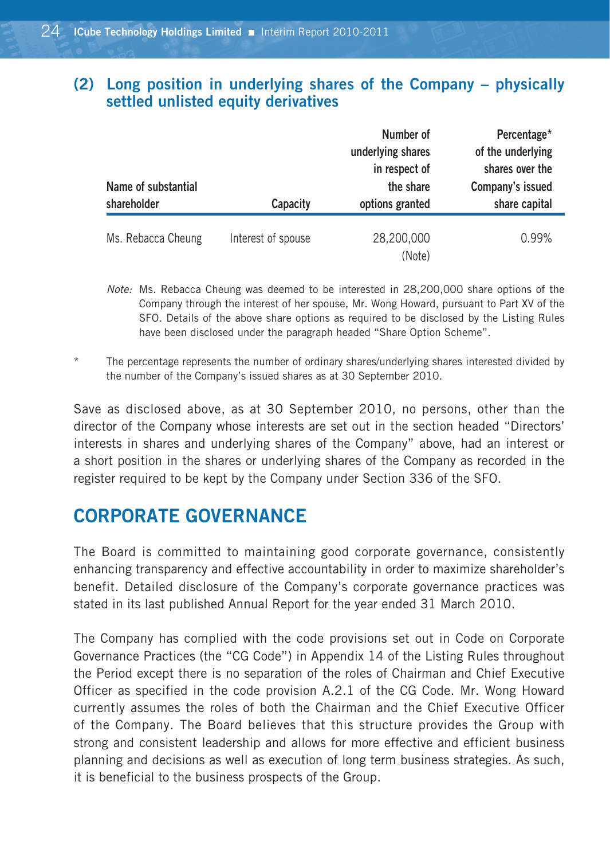# **(2) Long position in underlying shares of the Company – physically settled unlisted equity derivatives**

| Name of substantial<br>shareholder | Capacity           | Number of<br>underlying shares<br>in respect of<br>the share<br>options granted | Percentage*<br>of the underlying<br>shares over the<br>Company's issued<br>share capital |
|------------------------------------|--------------------|---------------------------------------------------------------------------------|------------------------------------------------------------------------------------------|
| Ms. Rebacca Cheung                 | Interest of spouse | 28,200,000<br>(Note)                                                            | 0.99%                                                                                    |

*Note:* Ms. Rebacca Cheung was deemed to be interested in 28,200,000 share options of the Company through the interest of her spouse, Mr. Wong Howard, pursuant to Part XV of the SFO. Details of the above share options as required to be disclosed by the Listing Rules have been disclosed under the paragraph headed "Share Option Scheme".

The percentage represents the number of ordinary shares/underlying shares interested divided by the number of the Company's issued shares as at 30 September 2010.

Save as disclosed above, as at 30 September 2010, no persons, other than the director of the Company whose interests are set out in the section headed "Directors' interests in shares and underlying shares of the Company" above, had an interest or a short position in the shares or underlying shares of the Company as recorded in the register required to be kept by the Company under Section 336 of the SFO.

# **CORPORATE GOVERNANCE**

The Board is committed to maintaining good corporate governance, consistently enhancing transparency and effective accountability in order to maximize shareholder's benefit. Detailed disclosure of the Company's corporate governance practices was stated in its last published Annual Report for the year ended 31 March 2010.

The Company has complied with the code provisions set out in Code on Corporate Governance Practices (the "CG Code") in Appendix 14 of the Listing Rules throughout the Period except there is no separation of the roles of Chairman and Chief Executive Officer as specified in the code provision A.2.1 of the CG Code. Mr. Wong Howard currently assumes the roles of both the Chairman and the Chief Executive Officer of the Company. The Board believes that this structure provides the Group with strong and consistent leadership and allows for more effective and efficient business planning and decisions as well as execution of long term business strategies. As such, it is beneficial to the business prospects of the Group.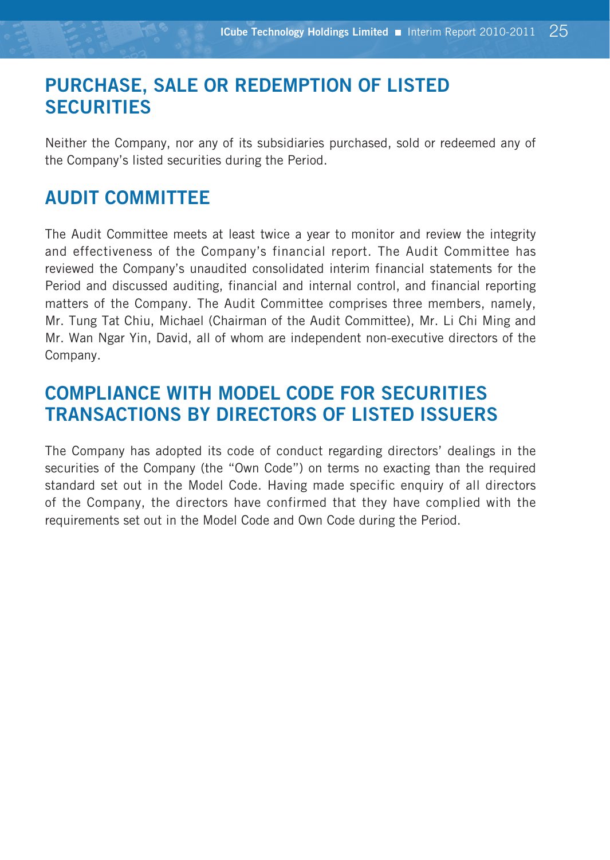# **PURCHASE, SALE OR REDEMPTION OF LISTED SECURITIES**

Neither the Company, nor any of its subsidiaries purchased, sold or redeemed any of the Company's listed securities during the Period.

# **AUDIT COMMITTEE**

The Audit Committee meets at least twice a year to monitor and review the integrity and effectiveness of the Company's financial report. The Audit Committee has reviewed the Company's unaudited consolidated interim financial statements for the Period and discussed auditing, financial and internal control, and financial reporting matters of the Company. The Audit Committee comprises three members, namely, Mr. Tung Tat Chiu, Michael (Chairman of the Audit Committee), Mr. Li Chi Ming and Mr. Wan Ngar Yin, David, all of whom are independent non-executive directors of the Company.

# **COMPLIANCE WITH MODEL CODE FOR SECURITIES TRANSACTIONS BY DIRECTORS OF LISTED ISSUERS**

The Company has adopted its code of conduct regarding directors' dealings in the securities of the Company (the "Own Code") on terms no exacting than the required standard set out in the Model Code. Having made specific enquiry of all directors of the Company, the directors have confirmed that they have complied with the requirements set out in the Model Code and Own Code during the Period.